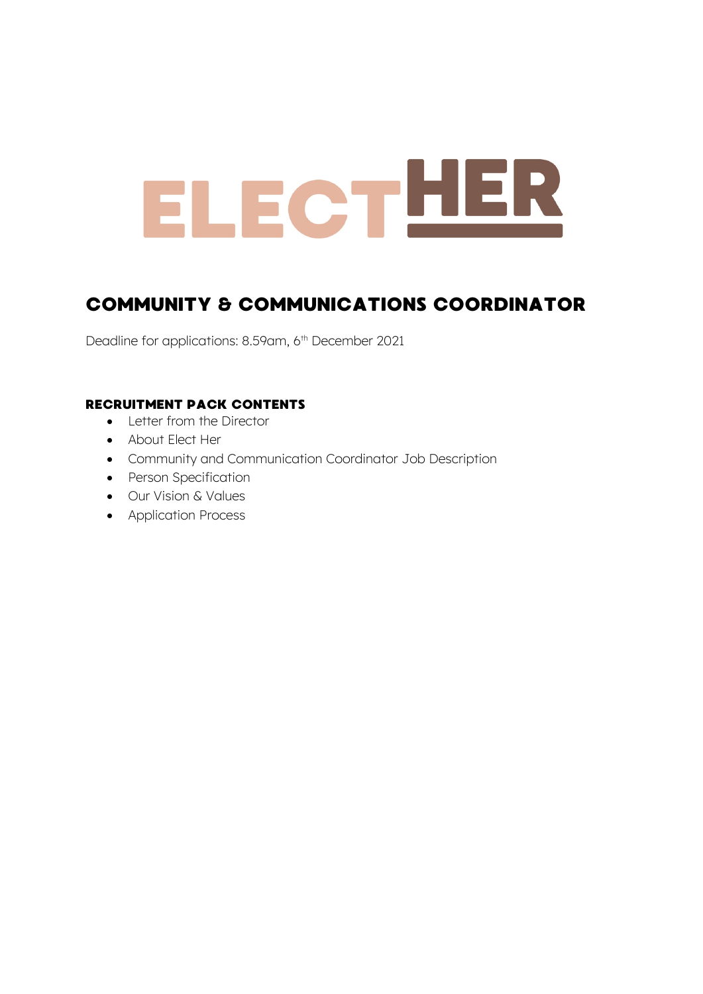# ELECTHER

### COMMUNITY & COMMUNICATIONS COORDINATOR

Deadline for applications: 8.59am, 6<sup>th</sup> December 2021

#### RECRUITMENT PACK CONTENTS

- Letter from the Director
- About Elect Her
- Community and Communication Coordinator Job Description
- Person Specification
- Our Vision & Values
- Application Process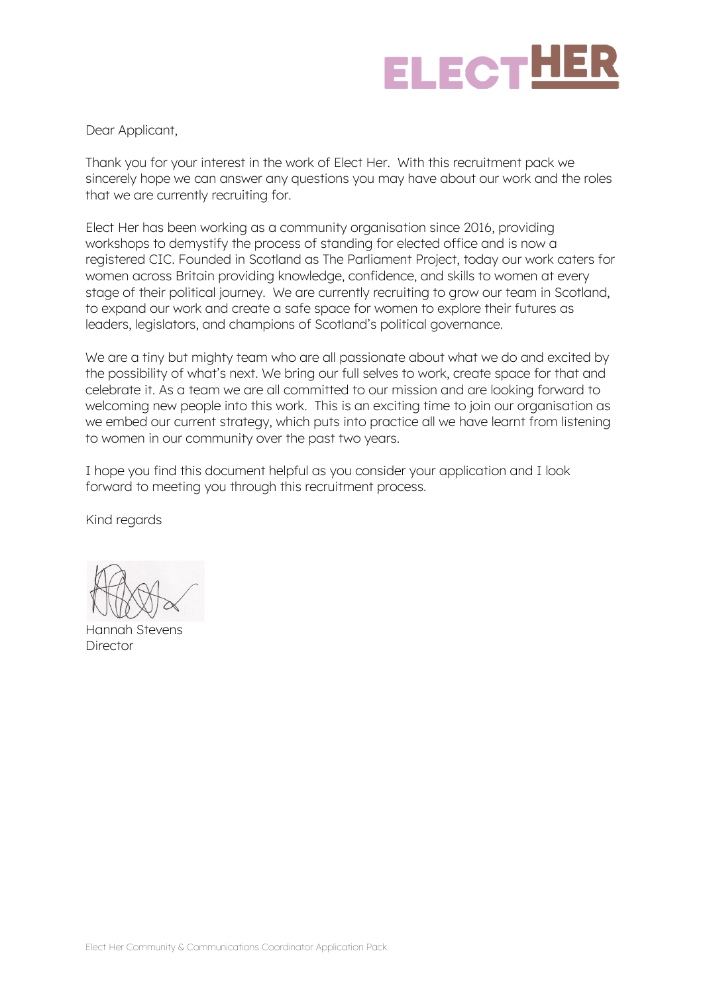

Dear Applicant,

Thank you for your interest in the work of Elect Her. With this recruitment pack we sincerely hope we can answer any questions you may have about our work and the roles that we are currently recruiting for.

Elect Her has been working as a community organisation since 2016, providing workshops to demystify the process of standing for elected office and is now a registered CIC. Founded in Scotland as The Parliament Project, today our work caters for women across Britain providing knowledge, confidence, and skills to women at every stage of their political journey. We are currently recruiting to grow our team in Scotland, to expand our work and create a safe space for women to explore their futures as leaders, legislators, and champions of Scotland's political governance.

We are a tiny but mighty team who are all passionate about what we do and excited by the possibility of what's next. We bring our full selves to work, create space for that and celebrate it. As a team we are all committed to our mission and are looking forward to welcoming new people into this work. This is an exciting time to join our organisation as we embed our current strategy, which puts into practice all we have learnt from listening to women in our community over the past two years.

I hope you find this document helpful as you consider your application and I look forward to meeting you through this recruitment process.

Kind regards

Hannah Stevens Director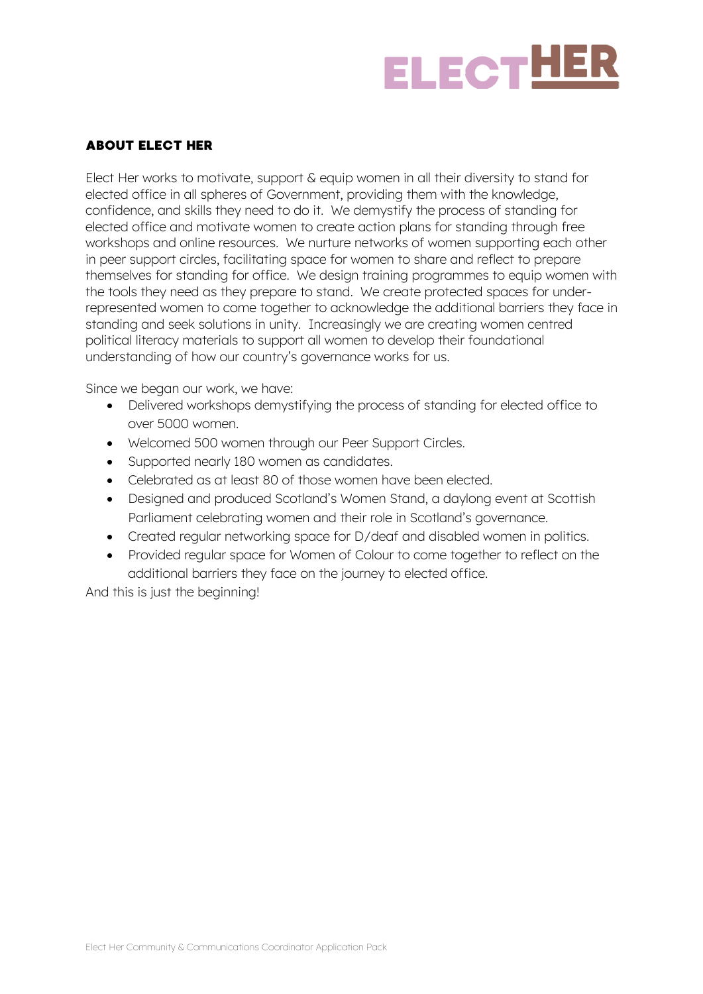

#### ABOUT ELECT HER

Elect Her works to motivate, support & equip women in all their diversity to stand for elected office in all spheres of Government, providing them with the knowledge, confidence, and skills they need to do it. We demystify the process of standing for elected office and motivate women to create action plans for standing through free workshops and online resources. We nurture networks of women supporting each other in peer support circles, facilitating space for women to share and reflect to prepare themselves for standing for office. We design training programmes to equip women with the tools they need as they prepare to stand. We create protected spaces for underrepresented women to come together to acknowledge the additional barriers they face in standing and seek solutions in unity. Increasingly we are creating women centred political literacy materials to support all women to develop their foundational understanding of how our country's governance works for us.

Since we began our work, we have:

- Delivered workshops demystifying the process of standing for elected office to over 5000 women.
- Welcomed 500 women through our Peer Support Circles.
- Supported nearly 180 women as candidates.
- Celebrated as at least 80 of those women have been elected.
- Designed and produced Scotland's Women Stand, a daylong event at Scottish Parliament celebrating women and their role in Scotland's governance.
- Created regular networking space for D/deaf and disabled women in politics.
- Provided regular space for Women of Colour to come together to reflect on the additional barriers they face on the journey to elected office.

And this is just the beginning!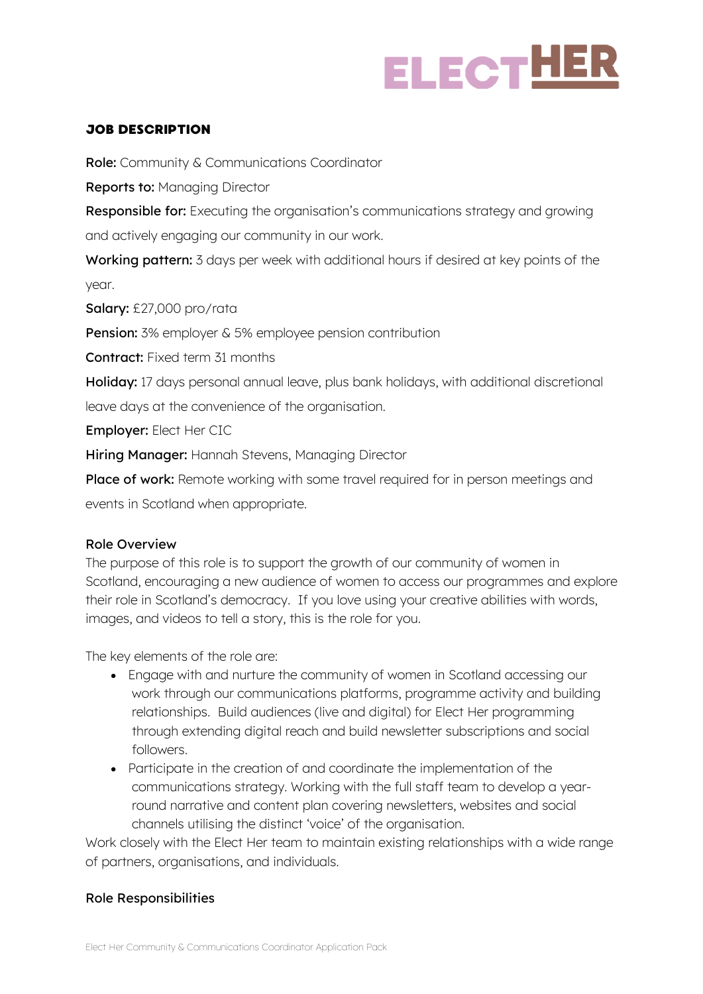## **ELECTHER**

#### JOB DESCRIPTION

Role: Community & Communications Coordinator

Reports to: Managing Director

Responsible for: Executing the organisation's communications strategy and growing and actively engaging our community in our work.

Working pattern: 3 days per week with additional hours if desired at key points of the year.

Salary: £27,000 pro/rata

**Pension:** 3% employer & 5% employee pension contribution

Contract: Fixed term 31 months

Holiday: 17 days personal annual leave, plus bank holidays, with additional discretional leave days at the convenience of the organisation.

Employer: Elect Her CIC

Hiring Manager: Hannah Stevens, Managing Director

Place of work: Remote working with some travel required for in person meetings and events in Scotland when appropriate.

#### Role Overview

The purpose of this role is to support the growth of our community of women in Scotland, encouraging a new audience of women to access our programmes and explore their role in Scotland's democracy. If you love using your creative abilities with words, images, and videos to tell a story, this is the role for you.

The key elements of the role are:

- Engage with and nurture the community of women in Scotland accessing our work through our communications platforms, programme activity and building relationships. Build audiences (live and digital) for Elect Her programming through extending digital reach and build newsletter subscriptions and social followers.
- Participate in the creation of and coordinate the implementation of the communications strategy. Working with the full staff team to develop a yearround narrative and content plan covering newsletters, websites and social channels utilising the distinct 'voice' of the organisation.

Work closely with the Elect Her team to maintain existing relationships with a wide range of partners, organisations, and individuals.

#### Role Responsibilities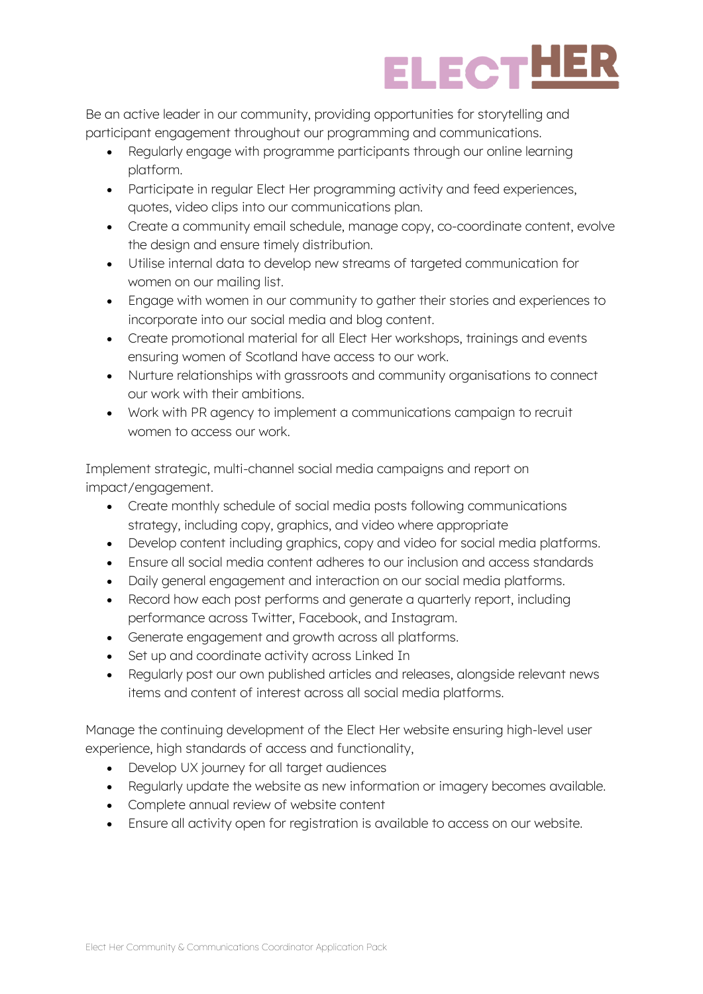

Be an active leader in our community, providing opportunities for storytelling and participant engagement throughout our programming and communications.

- Regularly engage with programme participants through our online learning platform.
- Participate in regular Elect Her programming activity and feed experiences, quotes, video clips into our communications plan.
- Create a community email schedule, manage copy, co-coordinate content, evolve the design and ensure timely distribution.
- Utilise internal data to develop new streams of targeted communication for women on our mailing list.
- Engage with women in our community to gather their stories and experiences to incorporate into our social media and blog content.
- Create promotional material for all Elect Her workshops, trainings and events ensuring women of Scotland have access to our work.
- Nurture relationships with grassroots and community organisations to connect our work with their ambitions.
- Work with PR agency to implement a communications campaign to recruit women to access our work.

Implement strategic, multi-channel social media campaigns and report on impact/engagement.

- Create monthly schedule of social media posts following communications strategy, including copy, graphics, and video where appropriate
- Develop content including graphics, copy and video for social media platforms.
- Ensure all social media content adheres to our inclusion and access standards
- Daily general engagement and interaction on our social media platforms.
- Record how each post performs and generate a quarterly report, including performance across Twitter, Facebook, and Instagram.
- Generate engagement and growth across all platforms.
- Set up and coordinate activity across Linked In
- Regularly post our own published articles and releases, alongside relevant news items and content of interest across all social media platforms.

Manage the continuing development of the Elect Her website ensuring high-level user experience, high standards of access and functionality,

- Develop UX journey for all target audiences
- Regularly update the website as new information or imagery becomes available.
- Complete annual review of website content
- Ensure all activity open for registration is available to access on our website.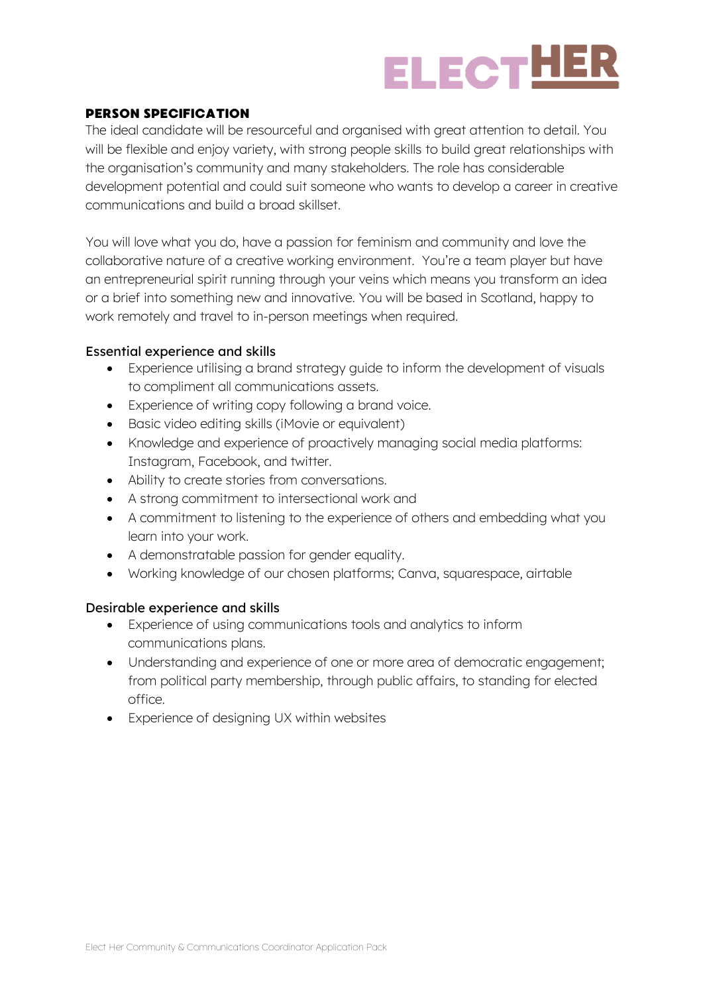

#### PERSON SPECIFICATION

The ideal candidate will be resourceful and organised with great attention to detail. You will be flexible and enjoy variety, with strong people skills to build great relationships with the organisation's community and many stakeholders. The role has considerable development potential and could suit someone who wants to develop a career in creative communications and build a broad skillset.

You will love what you do, have a passion for feminism and community and love the collaborative nature of a creative working environment. You're a team player but have an entrepreneurial spirit running through your veins which means you transform an idea or a brief into something new and innovative. You will be based in Scotland, happy to work remotely and travel to in-person meetings when required.

#### Essential experience and skills

- Experience utilising a brand strategy guide to inform the development of visuals to compliment all communications assets.
- Experience of writing copy following a brand voice.
- Basic video editing skills (iMovie or equivalent)
- Knowledge and experience of proactively managing social media platforms: Instagram, Facebook, and twitter.
- Ability to create stories from conversations.
- A strong commitment to intersectional work and
- A commitment to listening to the experience of others and embedding what you learn into your work.
- A demonstratable passion for gender equality.
- Working knowledge of our chosen platforms; Canva, squarespace, airtable

#### Desirable experience and skills

- Experience of using communications tools and analytics to inform communications plans.
- Understanding and experience of one or more area of democratic engagement; from political party membership, through public affairs, to standing for elected office.
- Experience of designing UX within websites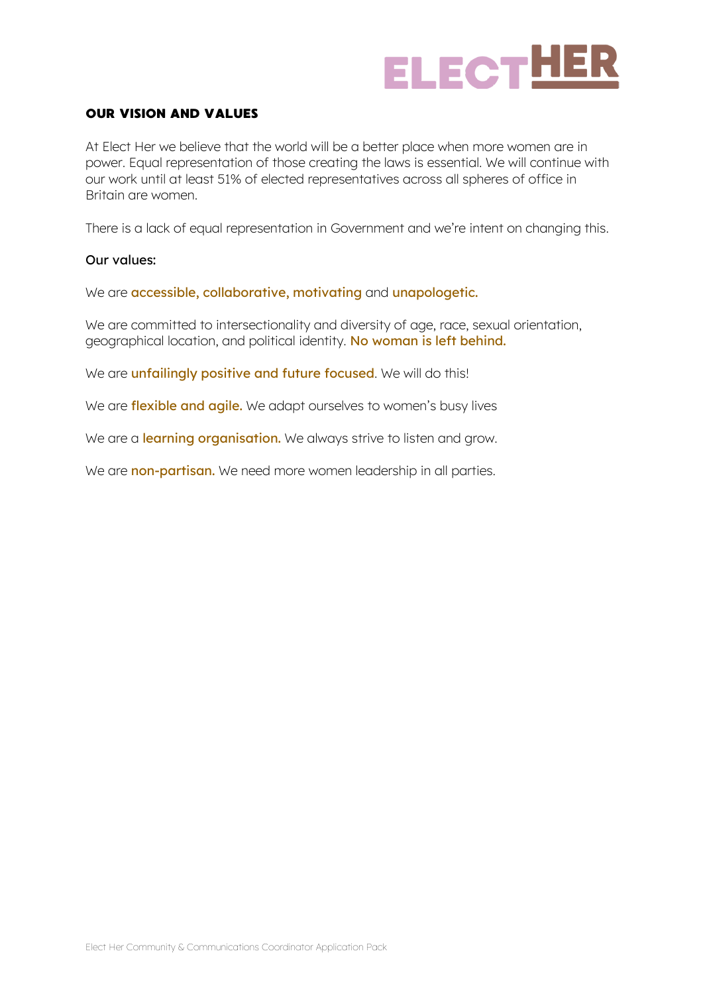

#### OUR VISION AND VALUES

At Elect Her we believe that the world will be a better place when more women are in power. Equal representation of those creating the laws is essential. We will continue with our work until at least 51% of elected representatives across all spheres of office in Britain are women.

There is a lack of equal representation in Government and we're intent on changing this.

#### Our values:

We are **accessible, collaborative, motivating and unapologetic.** 

We are committed to intersectionality and diversity of age, race, sexual orientation, geographical location, and political identity. No woman is left behind.

We are unfailingly positive and future focused. We will do this!

We are **flexible and agile.** We adapt ourselves to women's busy lives

We are a **learning organisation.** We always strive to listen and grow.

We are non-partisan. We need more women leadership in all parties.